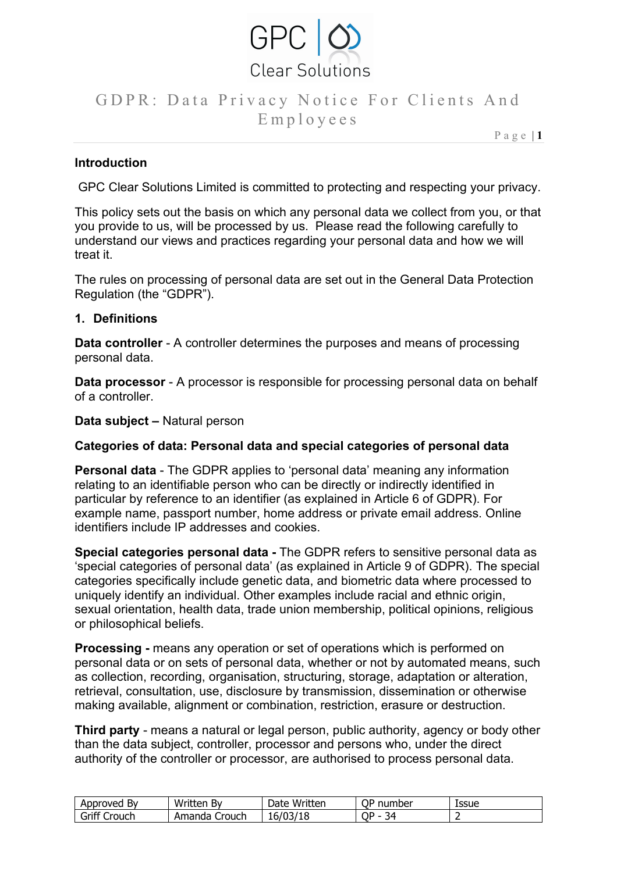

P a g e | **1**

### **Introduction**

GPC Clear Solutions Limited is committed to protecting and respecting your privacy.

This policy sets out the basis on which any personal data we collect from you, or that you provide to us, will be processed by us. Please read the following carefully to understand our views and practices regarding your personal data and how we will treat it.

The rules on processing of personal data are set out in the General Data Protection Regulation (the "GDPR").

### **1. Definitions**

**Data controller** - A controller determines the purposes and means of processing personal data.

**Data processor** - A processor is responsible for processing personal data on behalf of a controller.

**Data subject –** Natural person

#### **Categories of data: Personal data and special categories of personal data**

**Personal data** - The GDPR applies to 'personal data' meaning any information relating to an identifiable person who can be directly or indirectly identified in particular by reference to an identifier (as explained in Article 6 of GDPR). For example name, passport number, home address or private email address. Online identifiers include IP addresses and cookies.

**Special categories personal data -** The GDPR refers to sensitive personal data as 'special categories of personal data' (as explained in Article 9 of GDPR). The special categories specifically include genetic data, and biometric data where processed to uniquely identify an individual. Other examples include racial and ethnic origin, sexual orientation, health data, trade union membership, political opinions, religious or philosophical beliefs.

**Processing -** means any operation or set of operations which is performed on personal data or on sets of personal data, whether or not by automated means, such as collection, recording, organisation, structuring, storage, adaptation or alteration, retrieval, consultation, use, disclosure by transmission, dissemination or otherwise making available, alignment or combination, restriction, erasure or destruction.

**Third party** - means a natural or legal person, public authority, agency or body other than the data subject, controller, processor and persons who, under the direct authority of the controller or processor, are authorised to process personal data.

| Approved        | Written                  | Written  | ОP                           | Issue |
|-----------------|--------------------------|----------|------------------------------|-------|
| В٧              | В١                       | Date     | number                       |       |
| Griff<br>`rouch | Amanda<br>.rouch<br>- 41 | ⊥∪∤<br>ᅩ | ∩⊑<br>$\sim$<br>34<br>ັ<br>ـ |       |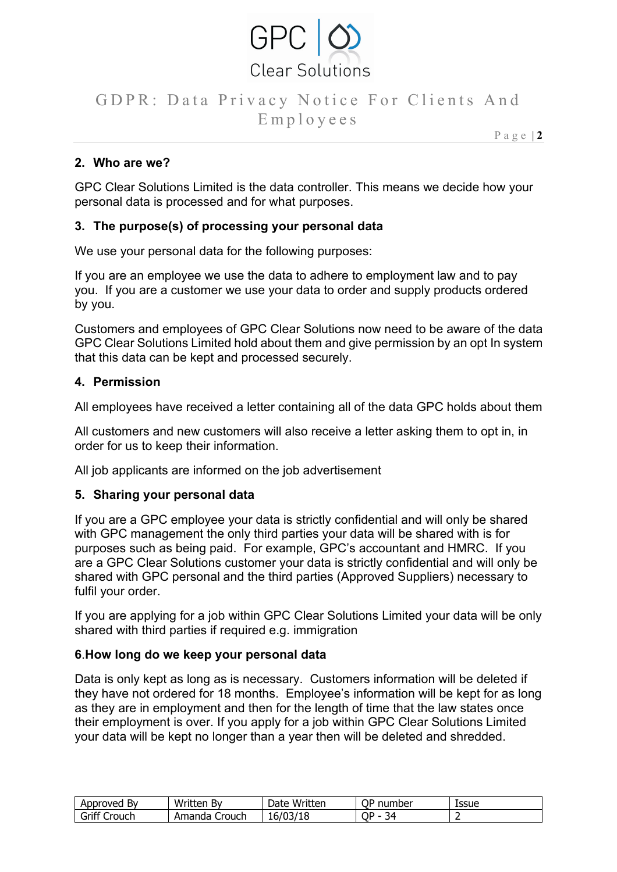

P a g e | **2**

## **2. Who are we?**

GPC Clear Solutions Limited is the data controller. This means we decide how your personal data is processed and for what purposes.

### **3. The purpose(s) of processing your personal data**

We use your personal data for the following purposes:

If you are an employee we use the data to adhere to employment law and to pay you. If you are a customer we use your data to order and supply products ordered by you.

Customers and employees of GPC Clear Solutions now need to be aware of the data GPC Clear Solutions Limited hold about them and give permission by an opt In system that this data can be kept and processed securely.

### **4. Permission**

All employees have received a letter containing all of the data GPC holds about them

All customers and new customers will also receive a letter asking them to opt in, in order for us to keep their information.

All job applicants are informed on the job advertisement

### **5. Sharing your personal data**

If you are a GPC employee your data is strictly confidential and will only be shared with GPC management the only third parties your data will be shared with is for purposes such as being paid. For example, GPC's accountant and HMRC. If you are a GPC Clear Solutions customer your data is strictly confidential and will only be shared with GPC personal and the third parties (Approved Suppliers) necessary to fulfil your order.

If you are applying for a job within GPC Clear Solutions Limited your data will be only shared with third parties if required e.g. immigration

### **6**.**How long do we keep your personal data**

Data is only kept as long as is necessary. Customers information will be deleted if they have not ordered for 18 months. Employee's information will be kept for as long as they are in employment and then for the length of time that the law states once their employment is over. If you apply for a job within GPC Clear Solutions Limited your data will be kept no longer than a year then will be deleted and shredded.

| Approved        | Written                  | Written  | ОP                           | Issue |
|-----------------|--------------------------|----------|------------------------------|-------|
| В٧              | В١                       | Date     | number                       |       |
| Griff<br>`rouch | Amanda<br>.rouch<br>- 41 | ⊥∪∤<br>ᅩ | ∩⊑<br>$\sim$<br>34<br>ັ<br>ـ |       |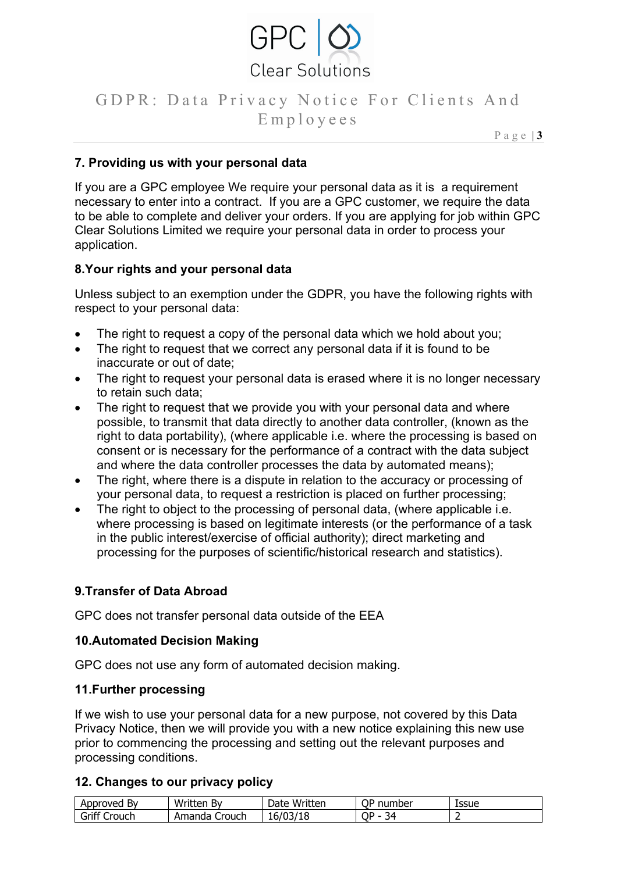

P a g e | **3**

### **7. Providing us with your personal data**

If you are a GPC employee We require your personal data as it is a requirement necessary to enter into a contract. If you are a GPC customer, we require the data to be able to complete and deliver your orders. If you are applying for job within GPC Clear Solutions Limited we require your personal data in order to process your application.

### **8.Your rights and your personal data**

Unless subject to an exemption under the GDPR, you have the following rights with respect to your personal data:

- The right to request a copy of the personal data which we hold about you;
- The right to request that we correct any personal data if it is found to be inaccurate or out of date;
- The right to request your personal data is erased where it is no longer necessary to retain such data;
- The right to request that we provide you with your personal data and where possible, to transmit that data directly to another data controller, (known as the right to data portability), (where applicable i.e. where the processing is based on consent or is necessary for the performance of a contract with the data subject and where the data controller processes the data by automated means);
- The right, where there is a dispute in relation to the accuracy or processing of your personal data, to request a restriction is placed on further processing;
- The right to object to the processing of personal data, (where applicable i.e. where processing is based on legitimate interests (or the performance of a task in the public interest/exercise of official authority); direct marketing and processing for the purposes of scientific/historical research and statistics).

### **9.Transfer of Data Abroad**

GPC does not transfer personal data outside of the EEA

#### **10.Automated Decision Making**

GPC does not use any form of automated decision making.

#### **11.Further processing**

If we wish to use your personal data for a new purpose, not covered by this Data Privacy Notice, then we will provide you with a new notice explaining this new use prior to commencing the processing and setting out the relevant purposes and processing conditions.

#### **12. Changes to our privacy policy**

| Approveg        | Written          | Written  | <b>OP</b>          | Issue |
|-----------------|------------------|----------|--------------------|-------|
| B٧              | B۱               | Date     | number             |       |
| Griff<br>`rouch | Crouch<br>Amanda | 10<br>ŦС | ח∩<br>∢2<br>ـ<br>ີ |       |